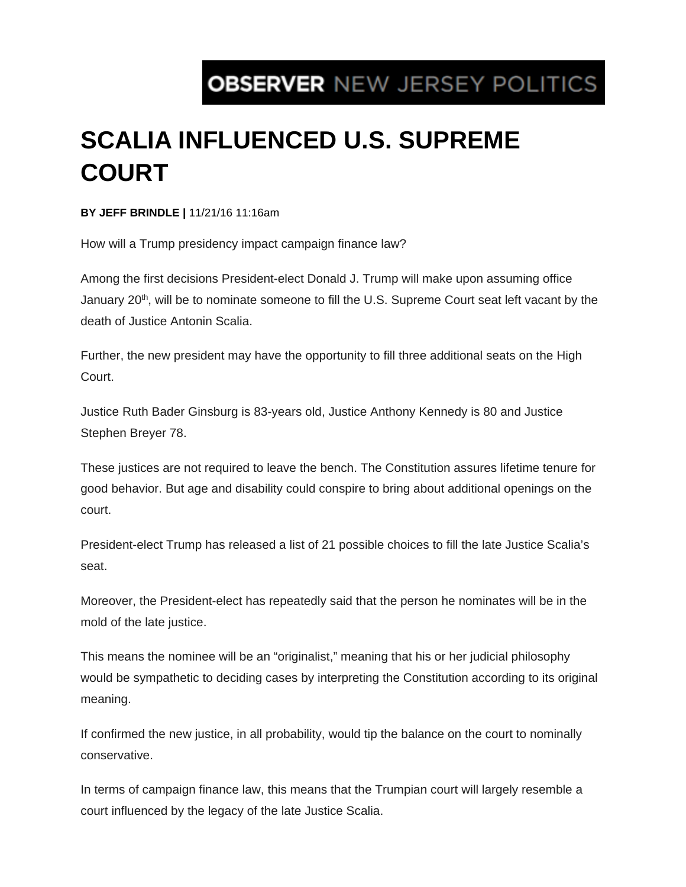## **OBSERVER NEW JERSEY POLITICS**

## **SCALIA INFLUENCED U.S. SUPREME COURT**

**BY JEFF BRINDLE |** 11/21/16 11:16am

How will a Trump presidency impact campaign finance law?

Among the first decisions President-elect Donald J. Trump will make upon assuming office January  $20<sup>th</sup>$ , will be to nominate someone to fill the U.S. Supreme Court seat left vacant by the death of Justice Antonin Scalia.

Further, the new president may have the opportunity to fill three additional seats on the High Court.

Justice Ruth Bader Ginsburg is 83-years old, Justice Anthony Kennedy is 80 and Justice Stephen Breyer 78.

These justices are not required to leave the bench. The Constitution assures lifetime tenure for good behavior. But age and disability could conspire to bring about additional openings on the court.

President-elect Trump has released a list of 21 possible choices to fill the late Justice Scalia's seat.

Moreover, the President-elect has repeatedly said that the person he nominates will be in the mold of the late justice.

This means the nominee will be an "originalist," meaning that his or her judicial philosophy would be sympathetic to deciding cases by interpreting the Constitution according to its original meaning.

If confirmed the new justice, in all probability, would tip the balance on the court to nominally conservative.

In terms of campaign finance law, this means that the Trumpian court will largely resemble a court influenced by the legacy of the late Justice Scalia.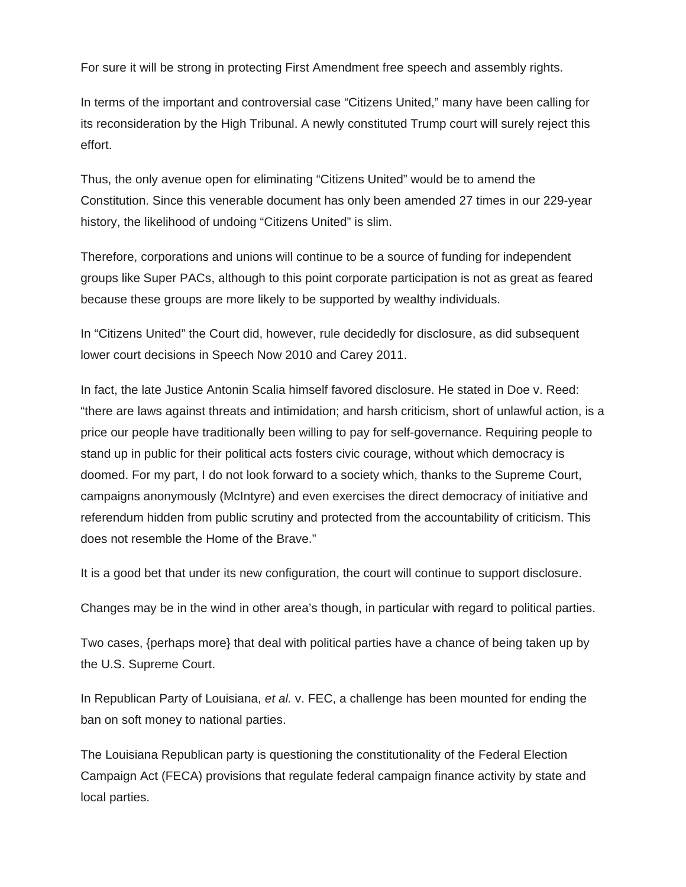For sure it will be strong in protecting First Amendment free speech and assembly rights.

In terms of the important and controversial case "Citizens United," many have been calling for its reconsideration by the High Tribunal. A newly constituted Trump court will surely reject this effort.

Thus, the only avenue open for eliminating "Citizens United" would be to amend the Constitution. Since this venerable document has only been amended 27 times in our 229-year history, the likelihood of undoing "Citizens United" is slim.

Therefore, corporations and unions will continue to be a source of funding for independent groups like Super PACs, although to this point corporate participation is not as great as feared because these groups are more likely to be supported by wealthy individuals.

In "Citizens United" the Court did, however, rule decidedly for disclosure, as did subsequent lower court decisions in Speech Now 2010 and Carey 2011.

In fact, the late Justice Antonin Scalia himself favored disclosure. He stated in Doe v. Reed: "there are laws against threats and intimidation; and harsh criticism, short of unlawful action, is a price our people have traditionally been willing to pay for self-governance. Requiring people to stand up in public for their political acts fosters civic courage, without which democracy is doomed. For my part, I do not look forward to a society which, thanks to the Supreme Court, campaigns anonymously (McIntyre) and even exercises the direct democracy of initiative and referendum hidden from public scrutiny and protected from the accountability of criticism. This does not resemble the Home of the Brave."

It is a good bet that under its new configuration, the court will continue to support disclosure.

Changes may be in the wind in other area's though, in particular with regard to political parties.

Two cases, {perhaps more} that deal with political parties have a chance of being taken up by the U.S. Supreme Court.

In Republican Party of Louisiana, *et al.* v. FEC, a challenge has been mounted for ending the ban on soft money to national parties.

The Louisiana Republican party is questioning the constitutionality of the Federal Election Campaign Act (FECA) provisions that regulate federal campaign finance activity by state and local parties.